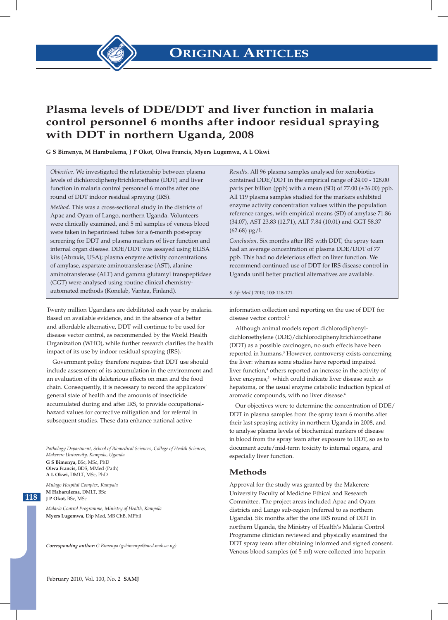

## **Plasma levels of DDE/DDT and liver function in malaria control personnel 6 months after indoor residual spraying with DDT in northern Uganda, 2008**

**G S Bimenya, M Harabulema, J P Okot, Olwa Francis, Myers Lugemwa, A L Okwi**

*Objective*. We investigated the relationship between plasma levels of dichlorodiphenyltrichloroethane (DDT) and liver function in malaria control personnel 6 months after one round of DDT indoor residual spraying (IRS).

*Method*. This was a cross-sectional study in the districts of Apac and Oyam of Lango, northern Uganda. Volunteers were clinically examined, and 5 ml samples of venous blood were taken in heparinised tubes for a 6-month post-spray screening for DDT and plasma markers of liver function and internal organ disease. DDE/DDT was assayed using ELISA kits (Abraxis, USA); plasma enzyme activity concentrations of amylase, aspartate aminotransferase (AST), alanine aminotransferase (ALT) and gamma glutamyl transpeptidase (GGT) were analysed using routine clinical chemistryautomated methods (Konelab, Vantaa, Finland).

Twenty million Ugandans are debilitated each year by malaria. Based on available evidence, and in the absence of a better and affordable alternative, DDT will continue to be used for disease vector control, as recommended by the World Health Organization (WHO), while further research clarifies the health impact of its use by indoor residual spraying (IRS).<sup>1</sup>

Government policy therefore requires that DDT use should include assessment of its accumulation in the environment and an evaluation of its deleterious effects on man and the food chain. Consequently, it is necessary to record the applicators' general state of health and the amounts of insecticide accumulated during and after IRS, to provide occupationalhazard values for corrective mitigation and for referral in subsequent studies. These data enhance national active

*Pathology Department, School of Biomedical Sciences, College of Health Sciences, Makerere University, Kampala, Uganda* **G S Bimenya,** BSc, MSc, PhD **Olwa Francis,** BDS, Mmed (Path) **A L Okwi,** DMLT, MSc, PhD

*Mulago Hospital Complex, Kampala* **M Habarulema,** DMLT, BSc **J P Okot,** BSc, MSc

**118 118**

*Malaria Control Programme, Ministry of Health, Kampala* **Myers Lugemwa,** Dip Med, MB ChB, MPhil

*Corresponding author: G Bimenya (gsbimenya@med.mak.ac.ug)*

*Results*. All 96 plasma samples analysed for xenobiotics contained DDE/DDT in the empirical range of 24.00 - 128.00 parts per billion (ppb) with a mean (SD) of  $77.00$  ( $\pm 26.00$ ) ppb. All 119 plasma samples studied for the markers exhibited enzyme activity concentration values within the population reference ranges, with empirical means (SD) of amylase 71.86 (34.07), AST 23.83 (12.71), ALT 7.84 (10.01) and GGT 58.37  $(62.68) \mu g/l$ .

*Conclusion*. Six months after IRS with DDT, the spray team had an average concentration of plasma DDE/DDT of 77 ppb. This had no deleterious effect on liver function. We recommend continued use of DDT for IRS disease control in Uganda until better practical alternatives are available.

#### *S Afr Med J* 2010; 100: 118-121.

information collection and reporting on the use of DDT for disease vector control.<sup>2</sup>

Although animal models report dichlorodiphenyldichloroethylene (DDE)/dichlorodiphenyltrichloroethane (DDT) as a possible carcinogen, no such effects have been reported in humans.<sup>3</sup> However, controversy exists concerning the liver: whereas some studies have reported impaired liver function,<sup>4</sup> others reported an increase in the activity of liver enzymes,<sup>5</sup> which could indicate liver disease such as hepatoma, or the usual enzyme catabolic induction typical of aromatic compounds, with no liver disease.<sup>6</sup>

Our objectives were to determine the concentration of DDE/ DDT in plasma samples from the spray team 6 months after their last spraying activity in northern Uganda in 2008, and to analyse plasma levels of biochemical markers of disease in blood from the spray team after exposure to DDT, so as to document acute/mid-term toxicity to internal organs, and especially liver function.

#### **Methods**

Approval for the study was granted by the Makerere University Faculty of Medicine Ethical and Research Committee. The project areas included Apac and Oyam districts and Lango sub-region (referred to as northern Uganda). Six months after the one IRS round of DDT in northern Uganda, the Ministry of Health's Malaria Control Programme clinician reviewed and physically examined the DDT spray team after obtaining informed and signed consent. Venous blood samples (of 5 ml) were collected into heparin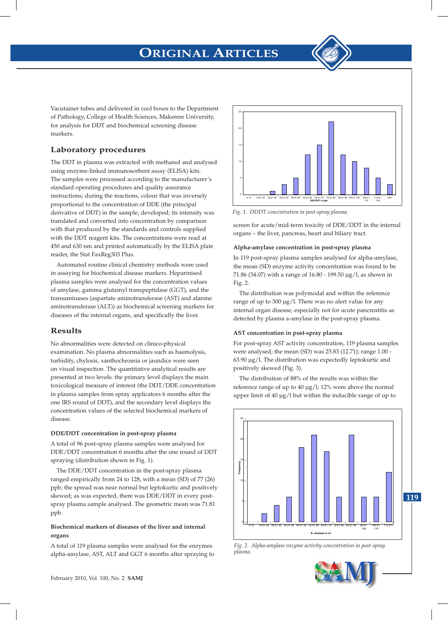# **ORIGINAL ARTICLES**

Vacutainer tubes and delivered in cool boxes to the Department of Pathology, College of Health Sciences, Makerere University, for analysis for DDT and biochemical screening disease markers.

### **Laboratory procedures**

The DDT in plasma was extracted with methanol and analysed using enzyme-linked immunosorbent assay (ELISA) kits. The samples were processed according to the manufacturer's standard operating procedures and quality assurance instructions; during the reactions, colour that was inversely proportional to the concentration of DDE (the principal derivative of DDT) in the sample, developed; its intensity was translated and converted into concentration by comparison with that produced by the standards and controls supplied with the DDT reagent kits. The concentrations were read at 450 and 630 nm and printed automatically by the ELISA plate reader, the Stat FaxReg303 Plus.

Automated routine clinical chemistry methods were used in assaying for biochemical disease markers. Heparinised plasma samples were analysed for the concentration values of amylase, gamma glutamyl transpeptidase (GGT), and the transaminases (aspartate aminotransferase (AST) and alanine aminotransferase (ALT)) as biochemical screening markers for diseases of the internal organs, and specifically the liver.

### **Results**

No abnormalities were detected on clinico-physical examination. No plasma abnormalities such as haemolysis, turbidity, chylosis, xanthochromia or jaundice were seen on visual inspection. The quantitative analytical results are presented at two levels: the primary level displays the main toxicological measure of interest (the DDT/DDE concentration in plasma samples from spray applicators 6 months after the one IRS round of DDT), and the secondary level displays the concentration values of the selected biochemical markers of disease.

#### **DDE/DDT concentration in post-spray plasma**

A total of 96 post-spray plasma samples were analysed for DDE/DDT concentration 6 months after the one round of DDT spraying (distribution shown in Fig. 1).

The DDE/DDT concentration in the post-spray plasma ranged empirically from 24 to 128, with a mean (SD) of 77 (26) ppb; the spread was near normal but leptokurtic and positively skewed; as was expected, there was DDE/DDT in every postspray plasma sample analysed. The geometric mean was 71.81 ppb.

#### **Biochemical markers of diseases of the liver and internal organs**

A total of 119 plasma samples were analysed for the enzymes alpha-amylase, AST, ALT and GGT 6 months after spraying to



*Fig. 1. DDT concentration in post-spray plasma Fig. 1. DDDT concentration in post-spray plasma.*

screen for acute/mid-term toxicity of DDE/DDT in the internal organs – the liver, pancreas, heart and biliary tract.

#### **Alpha-amylase concentration in post-spray plasma**

In 119 post-spray plasma samples analysed for alpha-amylase, the mean (SD) enzyme activity concentration was found to be 71.86 (34.07) with a range of 16.80 - 199.50 µg/l, as shown in Fig. 2.

The distribution was polymodal and within the reference range of up to 300  $\mu$ g/l. There was no alert value for any internal organ disease, especially not for acute pancreatitis as detected by plasma a-amylase in the post-spray plasma.

#### **AST concentration in post-spray plasma**

For post-spray AST activity concentration, 119 plasma samples were analysed; the mean (SD) was 25.83 (12.71); range 1.00 - 63.90 µg/l. The distribution was expectedly leptokurtic and positively skewed (Fig. 3).

The distribution of 88% of the results was within the reference range of up to 40 µg/l; 12% were above the normal upper limit of 40 µg/l but within the inducible range of up to



*Fig. 2. Alpha-amylase enzyme activity concentration in post-spray plasma Fig. 2. Alpha-amylase enzyme activity concentration in post-spray plasma.*

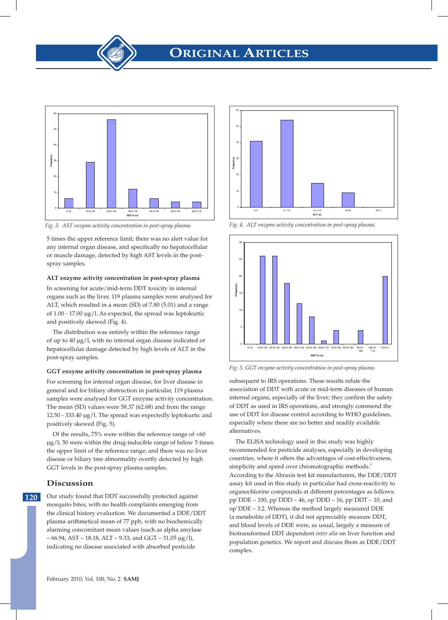

*Fig. 3. AST enzyme activity concentration in post-spray plasma. Fig. 3. AST enzyme activity concentration in post-spray plasma.*

5 times the upper reference limit; there was no alert value for any internal organ disease, and specifically no hepatocellular or muscle damage, detected by high AST levels in the postspray samples.

#### **ALT enzyme activity concentration in post-spray plasma**

In screening for acute/mid-term DDT toxicity in internal organs such as the liver, 119 plasma samples were analysed for ALT, which resulted in a mean (SD) of 7.80 (5.01) and a range of 1.00 - 17.00 µg/l. As expected, the spread was leptokurtic and positively skewed (Fig. 4).

The distribution was entirely within the reference range of up to 40 µg/l, with no internal organ disease indicated or hepatocellular damage detected by high levels of ALT in the post-spray samples.

#### **GGT enzyme activity concentration in post-spray plasma**

For screening for internal organ disease, for liver disease in general and for biliary obstruction in particular, 119 plasma samples were analysed for GGT enzyme activity concentration. The mean (SD) values were 58.37 (62.68) and from the range 12.50 - 333.40 µg/l. The spread was expectedly leptokurtic and positively skewed (Fig. 5).

Of the results,  $75\%$  were within the reference range of  $<60$ µg/l; 30 were within the drug-inducible range of below 5 times the upper limit of the reference range; and there was no liver disease or biliary tree abnormality overtly detected by high GGT levels in the post-spray plasma samples.

#### **Discussion**

**120** Our study found that DDT successfully protected against mosquito bites, with no health complaints emerging from the clinical history evaluation. We documented a DDE/DDT plasma arithmetical mean of 77 ppb, with no biochemically alarming concomitant mean values (such as alpha amylase  $-66.94$ , AST – 18.18, ALT – 9.33, and GGT – 31.05  $\mu$ g/l), indicating no disease associated with absorbed pesticide



*Fig. 4. ALT enzyme activity concentration in post-spray plasma. Fig. 4. ALT enzyme activity concentration in post-spray plasma.*



*Fig. 5. GGT enzyme activity concentration in post-spray plasma. Fig. 5. GGT enzyme activity concentration in post-spray plasma.*

subsequent to IRS operations. These results refute the association of DDT with acute or mid-term diseases of human internal organs, especially of the liver; they confirm the safety of DDT as used in IRS operations, and strongly commend the use of DDT for disease control according to WHO guidelines, especially where there are no better and readily available alternatives.

The ELISA technology used in this study was highly recommended for pesticide analyses, especially in developing countries, where it offers the advantages of cost-effectiveness, simplicity and speed over chromatographic methods.<sup>7</sup> According to the Abraxis test kit manufacturers, the DDE/DDT assay kit used in this study in particular had cross-reactivity to organochlorine compounds at different percentages as follows: pp`DDE – 100, pp`DDD – 46, op`DDD – 16, pp`DDT – 10, and op`DDE – 3.2. Whereas the method largely measured DDE (a metabolite of DDT), it did not appreciably measure DDT, and blood levels of DDE were, as usual, largely a measure of biotransformed DDT dependent *inter alia* on liver function and population genetics. We report and discuss them as DDE/DDT complex.